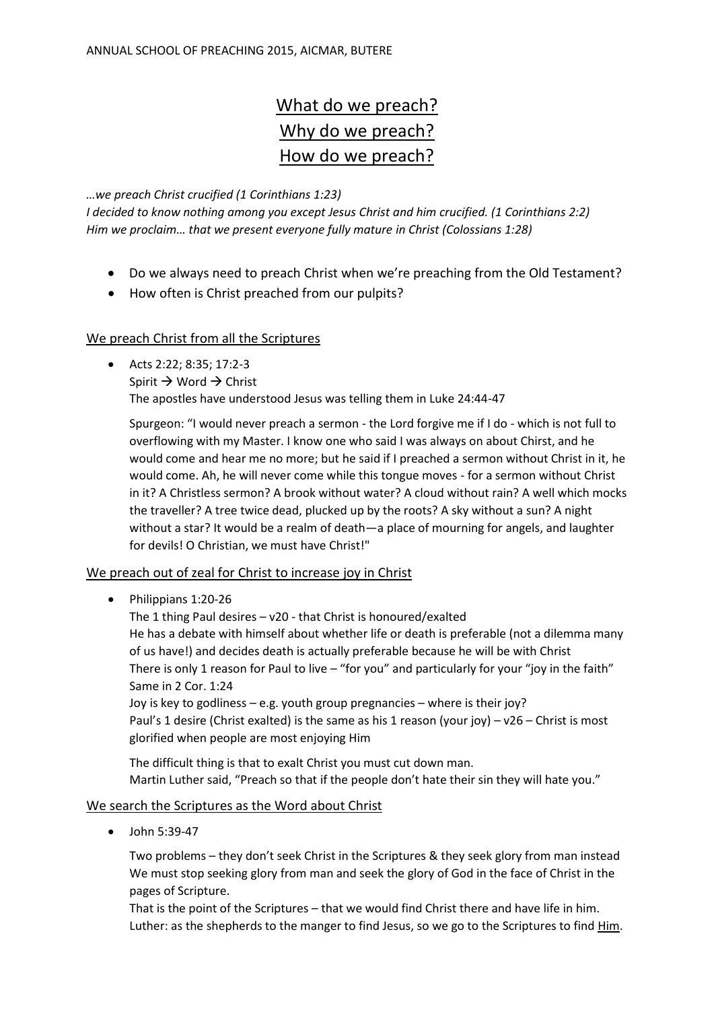# What do we preach? Why do we preach? How do we preach?

#### *…we preach Christ crucified (1 Corinthians 1:23)*

*I decided to know nothing among you except Jesus Christ and him crucified. (1 Corinthians 2:2) Him we proclaim… that we present everyone fully mature in Christ (Colossians 1:28)*

- Do we always need to preach Christ when we're preaching from the Old Testament?
- How often is Christ preached from our pulpits?

#### We preach Christ from all the Scriptures

 Acts 2:22; 8:35; 17:2-3 Spirit  $\rightarrow$  Word  $\rightarrow$  Christ The apostles have understood Jesus was telling them in Luke 24:44-47

Spurgeon: "I would never preach a sermon - the Lord forgive me if I do - which is not full to overflowing with my Master. I know one who said I was always on about Chirst, and he would come and hear me no more; but he said if I preached a sermon without Christ in it, he would come. Ah, he will never come while this tongue moves - for a sermon without Christ in it? A Christless sermon? A brook without water? A cloud without rain? A well which mocks the traveller? A tree twice dead, plucked up by the roots? A sky without a sun? A night without a star? It would be a realm of death—a place of mourning for angels, and laughter for devils! O Christian, we must have Christ!"

## We preach out of zeal for Christ to increase joy in Christ

• Philippians 1:20-26

The 1 thing Paul desires – v20 - that Christ is honoured/exalted He has a debate with himself about whether life or death is preferable (not a dilemma many of us have!) and decides death is actually preferable because he will be with Christ There is only 1 reason for Paul to live – "for you" and particularly for your "joy in the faith" Same in 2 Cor. 1:24

Joy is key to godliness – e.g. youth group pregnancies – where is their joy? Paul's 1 desire (Christ exalted) is the same as his 1 reason (your joy) – v26 – Christ is most glorified when people are most enjoying Him

The difficult thing is that to exalt Christ you must cut down man. Martin Luther said, "Preach so that if the people don't hate their sin they will hate you."

## We search the Scriptures as the Word about Christ

• John 5:39-47

Two problems – they don't seek Christ in the Scriptures & they seek glory from man instead We must stop seeking glory from man and seek the glory of God in the face of Christ in the pages of Scripture.

That is the point of the Scriptures – that we would find Christ there and have life in him. Luther: as the shepherds to the manger to find Jesus, so we go to the Scriptures to find Him.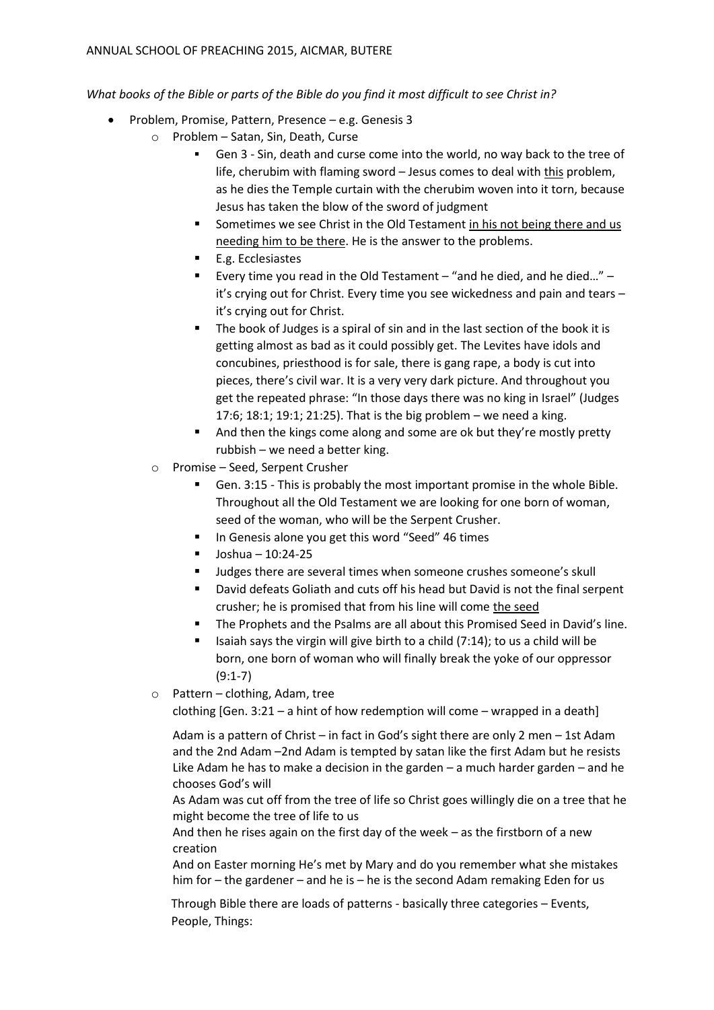*What books of the Bible or parts of the Bible do you find it most difficult to see Christ in?* 

- Problem, Promise, Pattern, Presence e.g. Genesis 3
	- o Problem Satan, Sin, Death, Curse
		- Gen 3 Sin, death and curse come into the world, no way back to the tree of life, cherubim with flaming sword – Jesus comes to deal with this problem, as he dies the Temple curtain with the cherubim woven into it torn, because Jesus has taken the blow of the sword of judgment
		- Sometimes we see Christ in the Old Testament in his not being there and us needing him to be there. He is the answer to the problems.
		- E.g. Ecclesiastes
		- Every time you read in the Old Testament "and he died, and he died…" it's crying out for Christ. Every time you see wickedness and pain and tears – it's crying out for Christ.
		- The book of Judges is a spiral of sin and in the last section of the book it is getting almost as bad as it could possibly get. The Levites have idols and concubines, priesthood is for sale, there is gang rape, a body is cut into pieces, there's civil war. It is a very very dark picture. And throughout you get the repeated phrase: "In those days there was no king in Israel" (Judges 17:6; 18:1; 19:1; 21:25). That is the big problem – we need a king.
		- And then the kings come along and some are ok but they're mostly pretty rubbish – we need a better king.
		- o Promise Seed, Serpent Crusher
			- Gen. 3:15 This is probably the most important promise in the whole Bible. Throughout all the Old Testament we are looking for one born of woman, seed of the woman, who will be the Serpent Crusher.
			- In Genesis alone you get this word "Seed" 46 times
			- $\blacksquare$  Joshua 10:24-25
			- Judges there are several times when someone crushes someone's skull
			- David defeats Goliath and cuts off his head but David is not the final serpent crusher; he is promised that from his line will come the seed
			- The Prophets and the Psalms are all about this Promised Seed in David's line.
			- Isaiah says the virgin will give birth to a child  $(7:14)$ ; to us a child will be born, one born of woman who will finally break the yoke of our oppressor (9:1-7)
		- o Pattern clothing, Adam, tree

clothing [Gen. 3:21 – a hint of how redemption will come – wrapped in a death]

Adam is a pattern of Christ – in fact in God's sight there are only 2 men – 1st Adam and the 2nd Adam –2nd Adam is tempted by satan like the first Adam but he resists Like Adam he has to make a decision in the garden – a much harder garden – and he chooses God's will

As Adam was cut off from the tree of life so Christ goes willingly die on a tree that he might become the tree of life to us

And then he rises again on the first day of the week – as the firstborn of a new creation

And on Easter morning He's met by Mary and do you remember what she mistakes him for – the gardener – and he is – he is the second Adam remaking Eden for us

Through Bible there are loads of patterns - basically three categories – Events, People, Things: